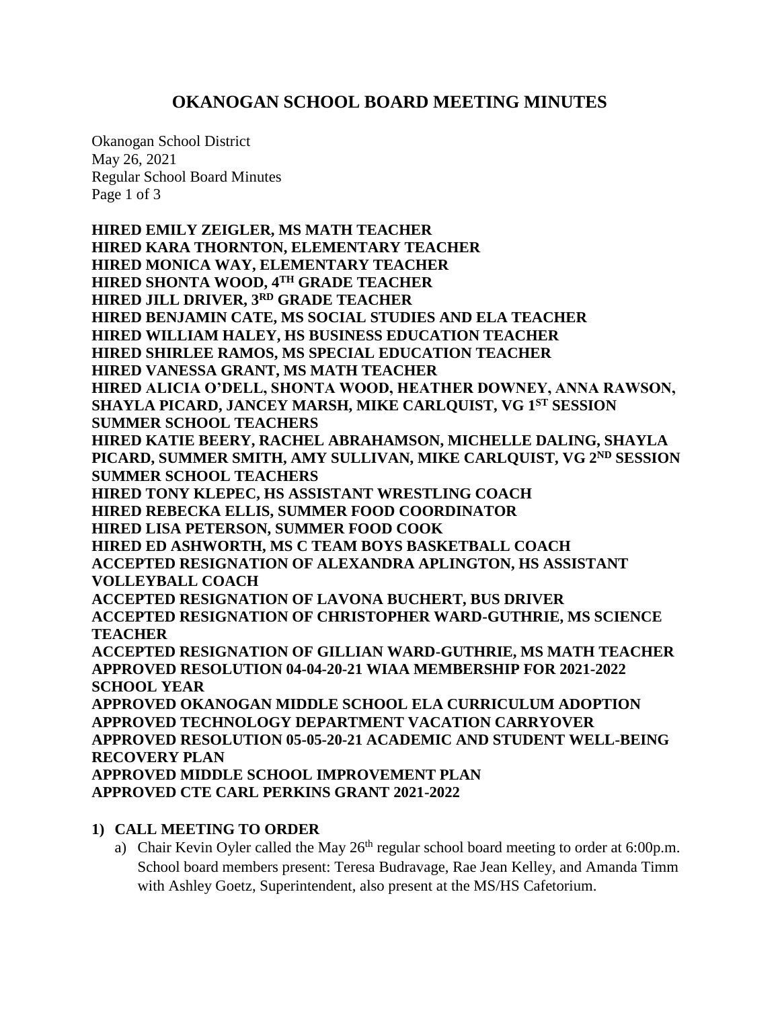# **OKANOGAN SCHOOL BOARD MEETING MINUTES**

Okanogan School District May 26, 2021 Regular School Board Minutes Page 1 of 3

**HIRED EMILY ZEIGLER, MS MATH TEACHER HIRED KARA THORNTON, ELEMENTARY TEACHER HIRED MONICA WAY, ELEMENTARY TEACHER HIRED SHONTA WOOD, 4TH GRADE TEACHER HIRED JILL DRIVER, 3RD GRADE TEACHER HIRED BENJAMIN CATE, MS SOCIAL STUDIES AND ELA TEACHER HIRED WILLIAM HALEY, HS BUSINESS EDUCATION TEACHER HIRED SHIRLEE RAMOS, MS SPECIAL EDUCATION TEACHER HIRED VANESSA GRANT, MS MATH TEACHER HIRED ALICIA O'DELL, SHONTA WOOD, HEATHER DOWNEY, ANNA RAWSON, SHAYLA PICARD, JANCEY MARSH, MIKE CARLQUIST, VG 1ST SESSION SUMMER SCHOOL TEACHERS HIRED KATIE BEERY, RACHEL ABRAHAMSON, MICHELLE DALING, SHAYLA PICARD, SUMMER SMITH, AMY SULLIVAN, MIKE CARLQUIST, VG 2ND SESSION SUMMER SCHOOL TEACHERS HIRED TONY KLEPEC, HS ASSISTANT WRESTLING COACH HIRED REBECKA ELLIS, SUMMER FOOD COORDINATOR HIRED LISA PETERSON, SUMMER FOOD COOK HIRED ED ASHWORTH, MS C TEAM BOYS BASKETBALL COACH ACCEPTED RESIGNATION OF ALEXANDRA APLINGTON, HS ASSISTANT VOLLEYBALL COACH ACCEPTED RESIGNATION OF LAVONA BUCHERT, BUS DRIVER ACCEPTED RESIGNATION OF CHRISTOPHER WARD-GUTHRIE, MS SCIENCE TEACHER ACCEPTED RESIGNATION OF GILLIAN WARD-GUTHRIE, MS MATH TEACHER APPROVED RESOLUTION 04-04-20-21 WIAA MEMBERSHIP FOR 2021-2022 SCHOOL YEAR APPROVED OKANOGAN MIDDLE SCHOOL ELA CURRICULUM ADOPTION APPROVED TECHNOLOGY DEPARTMENT VACATION CARRYOVER APPROVED RESOLUTION 05-05-20-21 ACADEMIC AND STUDENT WELL-BEING RECOVERY PLAN APPROVED MIDDLE SCHOOL IMPROVEMENT PLAN APPROVED CTE CARL PERKINS GRANT 2021-2022**

#### **1) CALL MEETING TO ORDER**

a) Chair Kevin Oyler called the May  $26<sup>th</sup>$  regular school board meeting to order at 6:00p.m. School board members present: Teresa Budravage, Rae Jean Kelley, and Amanda Timm with Ashley Goetz, Superintendent, also present at the MS/HS Cafetorium.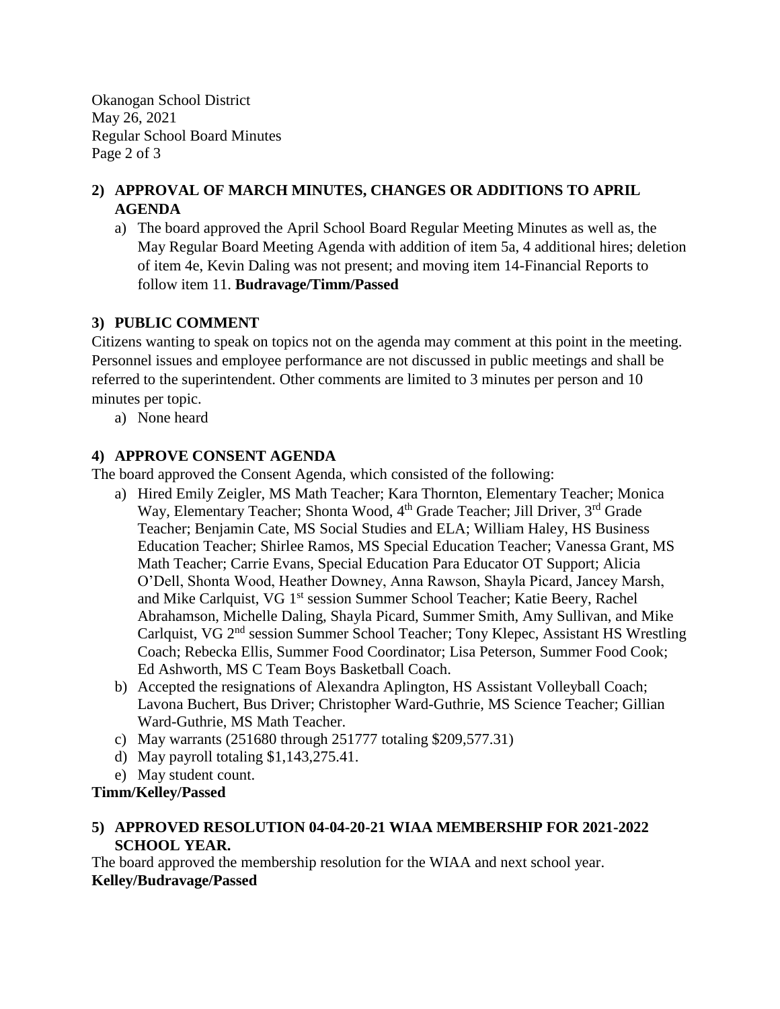Okanogan School District May 26, 2021 Regular School Board Minutes Page 2 of 3

## **2) APPROVAL OF MARCH MINUTES, CHANGES OR ADDITIONS TO APRIL AGENDA**

a) The board approved the April School Board Regular Meeting Minutes as well as, the May Regular Board Meeting Agenda with addition of item 5a, 4 additional hires; deletion of item 4e, Kevin Daling was not present; and moving item 14-Financial Reports to follow item 11. **Budravage/Timm/Passed**

## **3) PUBLIC COMMENT**

Citizens wanting to speak on topics not on the agenda may comment at this point in the meeting. Personnel issues and employee performance are not discussed in public meetings and shall be referred to the superintendent. Other comments are limited to 3 minutes per person and 10 minutes per topic.

a) None heard

## **4) APPROVE CONSENT AGENDA**

The board approved the Consent Agenda, which consisted of the following:

- a) Hired Emily Zeigler, MS Math Teacher; Kara Thornton, Elementary Teacher; Monica Way, Elementary Teacher; Shonta Wood, 4<sup>th</sup> Grade Teacher; Jill Driver, 3<sup>rd</sup> Grade Teacher; Benjamin Cate, MS Social Studies and ELA; William Haley, HS Business Education Teacher; Shirlee Ramos, MS Special Education Teacher; Vanessa Grant, MS Math Teacher; Carrie Evans, Special Education Para Educator OT Support; Alicia O'Dell, Shonta Wood, Heather Downey, Anna Rawson, Shayla Picard, Jancey Marsh, and Mike Carlquist, VG 1<sup>st</sup> session Summer School Teacher; Katie Beery, Rachel Abrahamson, Michelle Daling, Shayla Picard, Summer Smith, Amy Sullivan, and Mike Carlquist, VG 2nd session Summer School Teacher; Tony Klepec, Assistant HS Wrestling Coach; Rebecka Ellis, Summer Food Coordinator; Lisa Peterson, Summer Food Cook; Ed Ashworth, MS C Team Boys Basketball Coach.
- b) Accepted the resignations of Alexandra Aplington, HS Assistant Volleyball Coach; Lavona Buchert, Bus Driver; Christopher Ward-Guthrie, MS Science Teacher; Gillian Ward-Guthrie, MS Math Teacher.
- c) May warrants (251680 through 251777 totaling \$209,577.31)
- d) May payroll totaling \$1,143,275.41.
- e) May student count.

## **Timm/Kelley/Passed**

### **5) APPROVED RESOLUTION 04-04-20-21 WIAA MEMBERSHIP FOR 2021-2022 SCHOOL YEAR.**

The board approved the membership resolution for the WIAA and next school year. **Kelley/Budravage/Passed**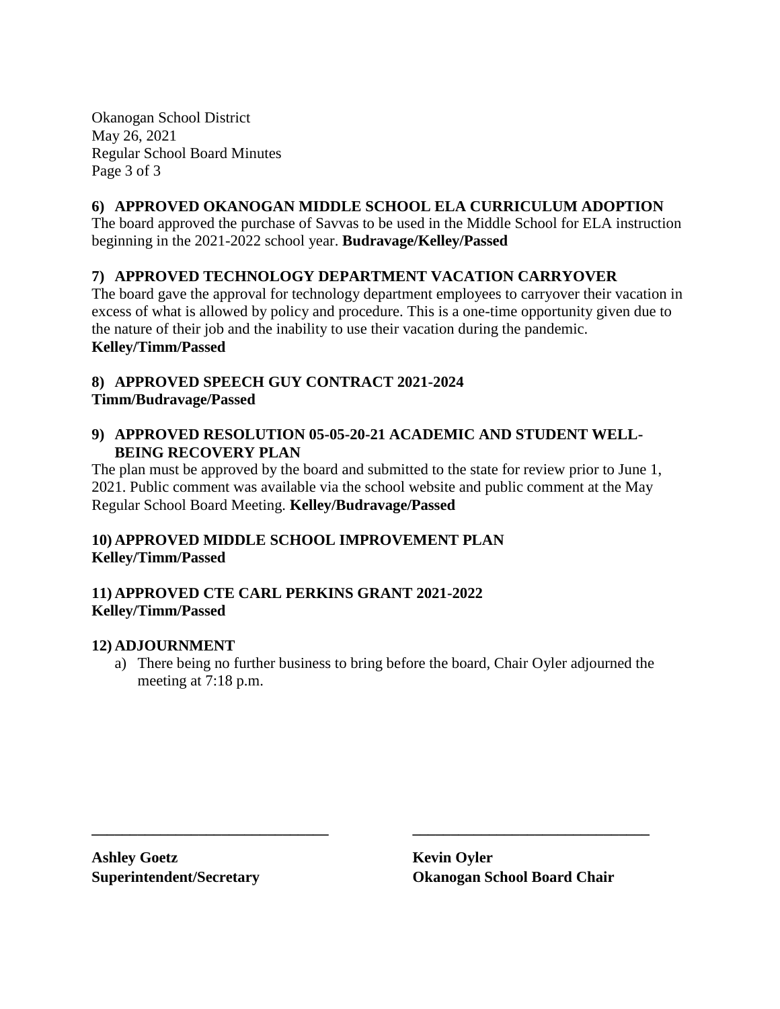Okanogan School District May 26, 2021 Regular School Board Minutes Page 3 of 3

### **6) APPROVED OKANOGAN MIDDLE SCHOOL ELA CURRICULUM ADOPTION**

The board approved the purchase of Savvas to be used in the Middle School for ELA instruction beginning in the 2021-2022 school year. **Budravage/Kelley/Passed**

### **7) APPROVED TECHNOLOGY DEPARTMENT VACATION CARRYOVER**

The board gave the approval for technology department employees to carryover their vacation in excess of what is allowed by policy and procedure. This is a one-time opportunity given due to the nature of their job and the inability to use their vacation during the pandemic. **Kelley/Timm/Passed**

#### **8) APPROVED SPEECH GUY CONTRACT 2021-2024 Timm/Budravage/Passed**

#### **9) APPROVED RESOLUTION 05-05-20-21 ACADEMIC AND STUDENT WELL-BEING RECOVERY PLAN**

The plan must be approved by the board and submitted to the state for review prior to June 1, 2021. Public comment was available via the school website and public comment at the May Regular School Board Meeting. **Kelley/Budravage/Passed**

### **10) APPROVED MIDDLE SCHOOL IMPROVEMENT PLAN Kelley/Timm/Passed**

#### **11) APPROVED CTE CARL PERKINS GRANT 2021-2022 Kelley/Timm/Passed**

#### **12) ADJOURNMENT**

a) There being no further business to bring before the board, Chair Oyler adjourned the meeting at 7:18 p.m.

**\_\_\_\_\_\_\_\_\_\_\_\_\_\_\_\_\_\_\_\_\_\_\_\_\_\_\_\_\_\_\_ \_\_\_\_\_\_\_\_\_\_\_\_\_\_\_\_\_\_\_\_\_\_\_\_\_\_\_\_\_\_\_**

**Ashley Goetz Kevin Oyler**

**Superintendent/Secretary Okanogan School Board Chair**